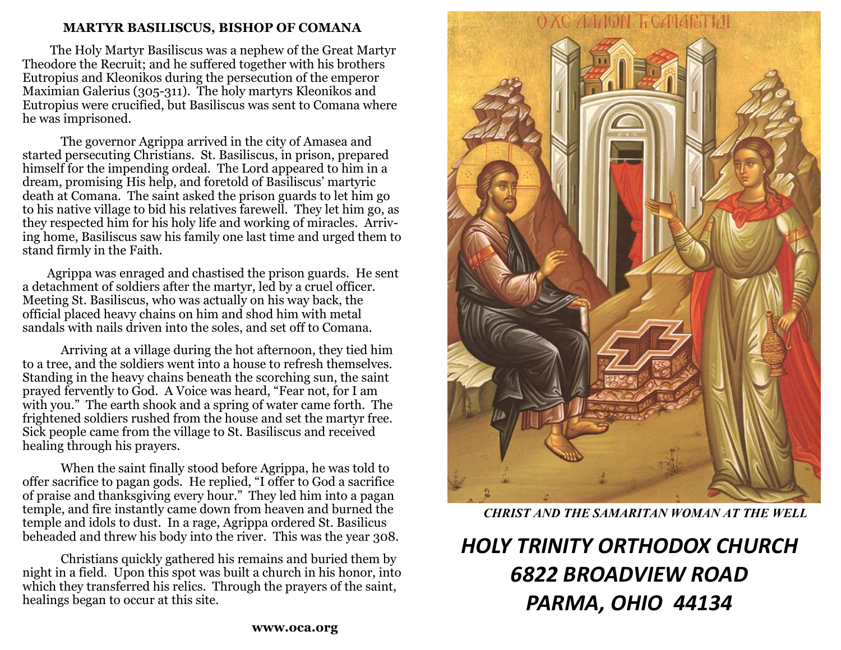#### **MARTYR BASILISCUS, BISHOP OF COMANA**

 The Holy Martyr Basiliscus was a nephew of the Great Martyr Theodore the Recruit; and he suffered together with his brothers Eutropius and Kleonikos during the persecution of the emperor Maximian Galerius (305-311). The holy martyrs Kleonikos and Eutropius were crucified, but Basiliscus was sent to Comana where he was imprisoned.

 The governor Agrippa arrived in the city of Amasea and started persecuting Christians. St. Basiliscus, in prison, prepared himself for the impending ordeal. The Lord appeared to him in a dream, promising His help, and foretold of Basiliscus' martyric death at Comana. The saint asked the prison guards to let him go to his native village to bid his relatives farewell. They let him go, as they respected him for his holy life and working of miracles. Arriving home, Basiliscus saw his family one last time and urged them to stand firmly in the Faith.

 Agrippa was enraged and chastised the prison guards. He sent a detachment of soldiers after the martyr, led by a cruel officer. Meeting St. Basiliscus, who was actually on his way back, the official placed heavy chains on him and shod him with metal sandals with nails driven into the soles, and set off to Comana.

 Arriving at a village during the hot afternoon, they tied him to a tree, and the soldiers went into a house to refresh themselves. Standing in the heavy chains beneath the scorching sun, the saint prayed fervently to God. A Voice was heard, "Fear not, for I am with you." The earth shook and a spring of water came forth. The frightened soldiers rushed from the house and set the martyr free. Sick people came from the village to St. Basiliscus and received healing through his prayers.

 When the saint finally stood before Agrippa, he was told to offer sacrifice to pagan gods. He replied, "I offer to God a sacrifice of praise and thanksgiving every hour." They led him into a pagan temple, and fire instantly came down from heaven and burned the temple and idols to dust. In a rage, Agrippa ordered St. Basilicus beheaded and threw his body into the river. This was the year 308.

 Christians quickly gathered his remains and buried them by night in a field. Upon this spot was built a church in his honor, into which they transferred his relics. Through the prayers of the saint, healings began to occur at this site.



*CHRIST AND THE SAMARITAN WOMAN AT THE WELL*

# *HOLY TRINITY ORTHODOX CHURCH 6822 BROADVIEW ROAD PARMA, OHIO 44134*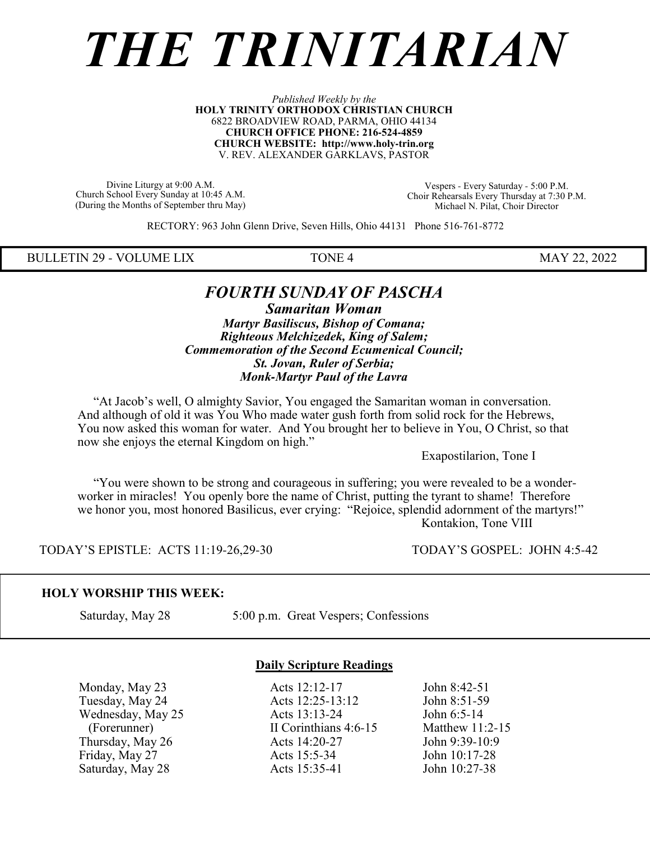# *THE TRINITARIAN*

#### *Published Weekly by the* **HOLY TRINITY ORTHODOX CHRISTIAN CHURCH** 6822 BROADVIEW ROAD, PARMA, OHIO 44134 **CHURCH OFFICE PHONE: 216-524-4859 CHURCH WEBSITE: http://www.holy-trin.org** V. REV. ALEXANDER GARKLAVS, PASTOR

Divine Liturgy at 9:00 A.M. Church School Every Sunday at 10:45 A.M. (During the Months of September thru May)

Vespers - Every Saturday - 5:00 P.M. Choir Rehearsals Every Thursday at 7:30 P.M. Michael N. Pilat, Choir Director

RECTORY: 963 John Glenn Drive, Seven Hills, Ohio 44131 Phone 516-761-8772

BULLETIN 29 - VOLUME LIX TONE 4 MAY 22, 2022

## *FOURTH SUNDAY OF PASCHA*

*Samaritan Woman Martyr Basiliscus, Bishop of Comana; Righteous Melchizedek, King of Salem; Commemoration of the Second Ecumenical Council; St. Jovan, Ruler of Serbia; Monk-Martyr Paul of the Lavra*

 "At Jacob's well, O almighty Savior, You engaged the Samaritan woman in conversation. And although of old it was You Who made water gush forth from solid rock for the Hebrews, You now asked this woman for water. And You brought her to believe in You, O Christ, so that now she enjoys the eternal Kingdom on high."

Exapostilarion, Tone I

 "You were shown to be strong and courageous in suffering; you were revealed to be a wonderworker in miracles! You openly bore the name of Christ, putting the tyrant to shame! Therefore we honor you, most honored Basilicus, ever crying: "Rejoice, splendid adornment of the martyrs!" Kontakion, Tone VIII

TODAY'S EPISTLE: ACTS 11:19-26,29-30 TODAY'S GOSPEL: JOHN 4:5-42

#### **HOLY WORSHIP THIS WEEK:**

Saturday, May 28 5:00 p.m. Great Vespers; Confessions

Saturday, May 28

#### **Daily Scripture Readings**

Monday, May 23 <br>
Tuesday, May 24 <br>
Acts 12:25-13:12 <br>
John 8:51-59 Tuesday, May 24 <br>
Wednesday, May 25 <br>
Acts 13:13-24 <br>
John 6:5-14 Wednesday, May 25 Acts 13:13-24 John 6:5-14<br>
(Forerunner) II Corinthians 4:6-15 Matthew 11:2-15 II Corinthians 4:6-15 Matthew 11:2-1<br>Acts 14:20-27 John 9:39-10:9 Thursday, May 26 <br>
Friday, May 27 <br>
Acts 15:5-34 <br>
John 10:17-28 Friday, May 27 **Acts 15:5-34** John 10:17-28<br>
Saturday, May 28 Acts 15:35-41 John 10:27-38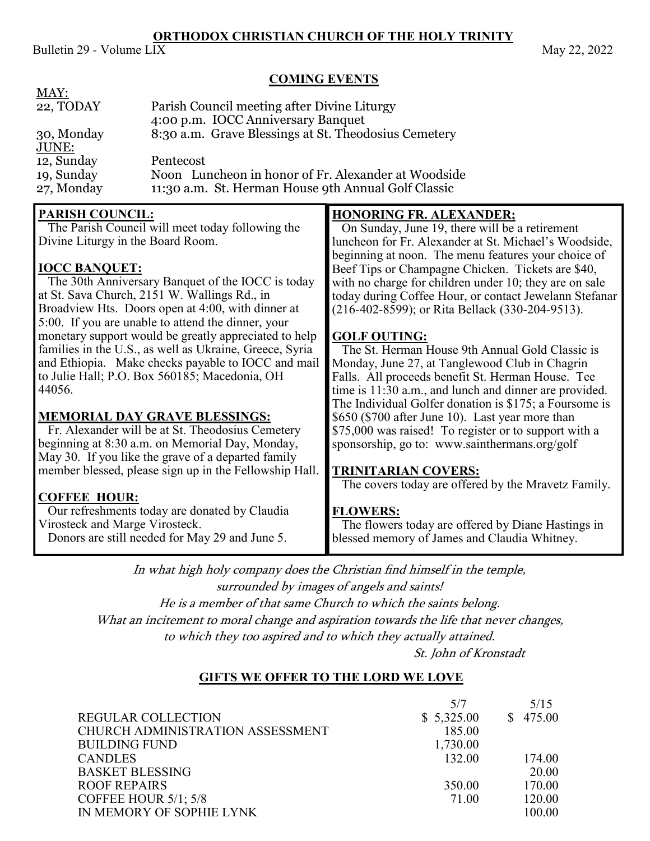#### **ORTHODOX CHRISTIAN CHURCH OF THE HOLY TRINITY**

Bulletin 29 - Volume  $LIX$  May 22, 2022

#### **COMING EVENTS**

| MAY:<br>22, TODAY<br>Parish Council meeting after Divine Liturgy<br>4:00 p.m. IOCC Anniversary Banquet<br>8:30 a.m. Grave Blessings at St. Theodosius Cemetery<br>30, Monday<br><u>JUNE:</u><br>12, Sunday<br>Pentecost<br>Noon Luncheon in honor of Fr. Alexander at Woodside<br>19, Sunday<br>27, Monday<br>11:30 a.m. St. Herman House 9th Annual Golf Classic                                                                                                                                                                                                                                                                                                                                                                                                                                                                                           |                                                                                                                                                                                                                                                                                                                                                                                                                                                                                                                                                                                                                                                                                                                                                                                                                                                                                                                                                                                      |
|-------------------------------------------------------------------------------------------------------------------------------------------------------------------------------------------------------------------------------------------------------------------------------------------------------------------------------------------------------------------------------------------------------------------------------------------------------------------------------------------------------------------------------------------------------------------------------------------------------------------------------------------------------------------------------------------------------------------------------------------------------------------------------------------------------------------------------------------------------------|--------------------------------------------------------------------------------------------------------------------------------------------------------------------------------------------------------------------------------------------------------------------------------------------------------------------------------------------------------------------------------------------------------------------------------------------------------------------------------------------------------------------------------------------------------------------------------------------------------------------------------------------------------------------------------------------------------------------------------------------------------------------------------------------------------------------------------------------------------------------------------------------------------------------------------------------------------------------------------------|
| <b>PARISH COUNCIL:</b><br>The Parish Council will meet today following the<br>Divine Liturgy in the Board Room.<br><b>IOCC BANQUET:</b><br>The 30th Anniversary Banquet of the IOCC is today<br>at St. Sava Church, 2151 W. Wallings Rd., in<br>Broadview Hts. Doors open at 4:00, with dinner at<br>5:00. If you are unable to attend the dinner, your<br>monetary support would be greatly appreciated to help<br>families in the U.S., as well as Ukraine, Greece, Syria<br>and Ethiopia. Make checks payable to IOCC and mail<br>to Julie Hall; P.O. Box 560185; Macedonia, OH<br>44056.<br><b>MEMORIAL DAY GRAVE BLESSINGS:</b><br>Fr. Alexander will be at St. Theodosius Cemetery<br>beginning at 8:30 a.m. on Memorial Day, Monday,<br>May 30. If you like the grave of a departed family<br>member blessed, please sign up in the Fellowship Hall. | <b>HONORING FR. ALEXANDER;</b><br>On Sunday, June 19, there will be a retirement<br>luncheon for Fr. Alexander at St. Michael's Woodside,<br>beginning at noon. The menu features your choice of<br>Beef Tips or Champagne Chicken. Tickets are \$40,<br>with no charge for children under 10; they are on sale<br>today during Coffee Hour, or contact Jewelann Stefanar<br>(216-402-8599); or Rita Bellack (330-204-9513).<br><b>GOLF OUTING:</b><br>The St. Herman House 9th Annual Gold Classic is<br>Monday, June 27, at Tanglewood Club in Chagrin<br>Falls. All proceeds benefit St. Herman House. Tee<br>time is 11:30 a.m., and lunch and dinner are provided.<br>The Individual Golfer donation is \$175; a Foursome is<br>\$650 (\$700 after June 10). Last year more than<br>\$75,000 was raised! To register or to support with a<br>sponsorship, go to: www.sainthermans.org/golf<br><b>TRINITARIAN COVERS:</b><br>The covers today are offered by the Mravetz Family. |

# **COFFEE HOUR:**

 Our refreshments today are donated by Claudia Virosteck and Marge Virosteck. Donors are still needed for May 29 and June 5.

#### **FLOWERS:**

 The flowers today are offered by Diane Hastings in blessed memory of James and Claudia Whitney.

In what high holy company does the Christian find himself in the temple, surrounded by images of angels and saints!

He is a member of that same Church to which the saints belong. What an incitement to moral change and aspiration towards the life that never changes, to which they too aspired and to which they actually attained.

St. John of Kronstadt

#### **GIFTS WE OFFER TO THE LORD WE LOVE**

|                                  | 5/7        | 5/15     |
|----------------------------------|------------|----------|
| <b>REGULAR COLLECTION</b>        | \$5,325.00 | \$475.00 |
| CHURCH ADMINISTRATION ASSESSMENT | 185.00     |          |
| <b>BUILDING FUND</b>             | 1,730.00   |          |
| <b>CANDLES</b>                   | 132.00     | 174.00   |
| <b>BASKET BLESSING</b>           |            | 20.00    |
| <b>ROOF REPAIRS</b>              | 350.00     | 170.00   |
| COFFEE HOUR $5/1$ ; $5/8$        | 71.00      | 120.00   |
| IN MEMORY OF SOPHIE LYNK         |            | 100.00   |